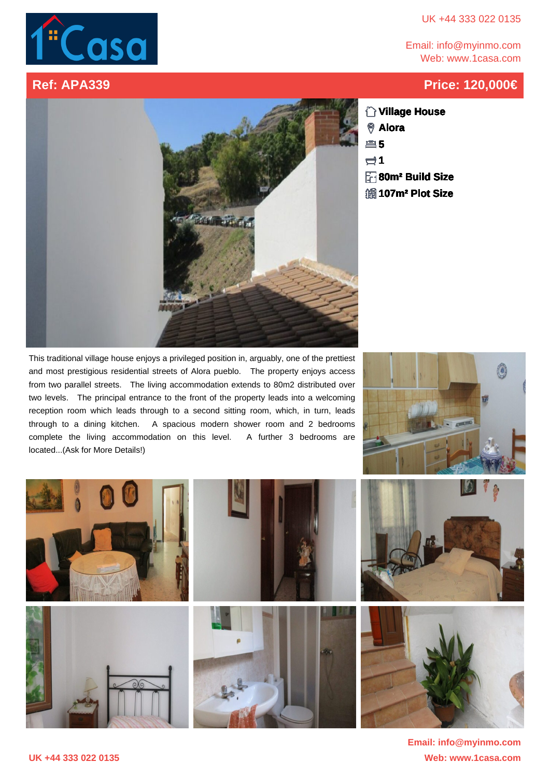## UK +44 333 022 0135

Email: info@myinmo.com Web: www.1casa.com

## **Ref: APA339 Price: 120,000€**



**Village House Alora 5**

**1**

- **80m² Build Size**
- **107m² Plot Size**

This traditional village house enjoys a privileged position in, arguably, one of the prettiest and most prestigious residential streets of Alora pueblo. The property enjoys access from two parallel streets. The living accommodation extends to 80m2 distributed over two levels. The principal entrance to the front of the property leads into a welcoming reception room which leads through to a second sitting room, which, in turn, leads through to a dining kitchen. A spacious modern shower room and 2 bedrooms complete the living accommodation on this level. A further 3 bedrooms are located...(Ask for More Details!)





**UK +44 333 022 0135 Web: www.1casa.com Email: info@myinmo.com**